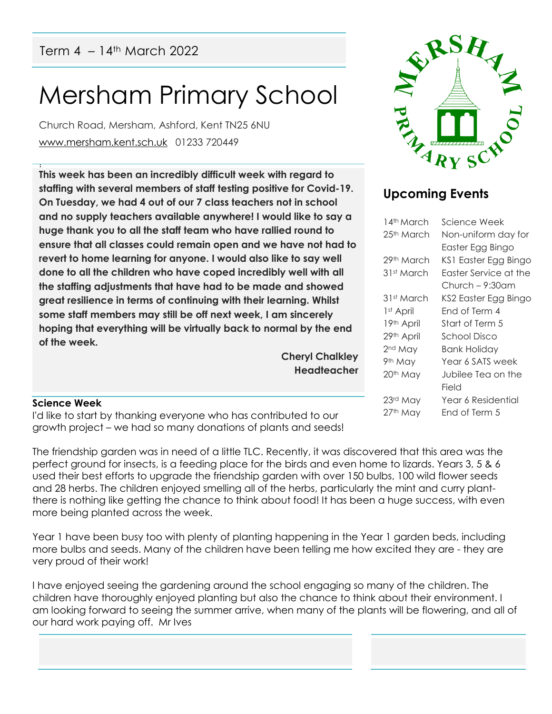# Mersham Primary School

Church Road, Mersham, Ashford, Kent TN25 6NU [www.mersham.kent.sch.uk](http://www.mersham.kent.sch.uk/) 01233 720449

! **This week has been an incredibly difficult week with regard to staffing with several members of staff testing positive for Covid-19. On Tuesday, we had 4 out of our 7 class teachers not in school and no supply teachers available anywhere! I would like to say a huge thank you to all the staff team who have rallied round to ensure that all classes could remain open and we have not had to revert to home learning for anyone. I would also like to say well done to all the children who have coped incredibly well with all the staffing adjustments that have had to be made and showed great resilience in terms of continuing with their learning. Whilst some staff members may still be off next week, I am sincerely hoping that everything will be virtually back to normal by the end of the week.** 

> **Cheryl Chalkley Headteacher**



# **Upcoming Events**

| 14th March            | Science Week          |
|-----------------------|-----------------------|
| 25th March            | Non-uniform day for   |
|                       | Easter Egg Bingo      |
| 29th March            | KS1 Easter Egg Bingo  |
| 31st March            | Easter Service at the |
|                       | Church – 9:30am       |
| 31st March            | KS2 Easter Egg Bingo  |
| 1 <sup>st</sup> April | Fnd of Term 4         |
| 19th April            | Start of Term 5       |
| 29th April            | School Disco          |
| 2 <sup>nd</sup> May   | Bank Holiday          |
| 9th May               | Year 6 SATS week      |
| 20 <sup>th</sup> May  | Jubilee Tea on the    |
|                       | Field                 |
| 23rd May              | Year 6 Residential    |
| 27th May              | End of Term 5         |
|                       |                       |

#### **Science Week**

I'd like to start by thanking everyone who has contributed to our growth project – we had so many donations of plants and seeds!

The friendship garden was in need of a little TLC. Recently, it was discovered that this area was the perfect ground for insects, is a feeding place for the birds and even home to lizards. Years 3, 5 & 6 used their best efforts to upgrade the friendship garden with over 150 bulbs, 100 wild flower seeds and 28 herbs. The children enjoyed smelling all of the herbs, particularly the mint and curry plantthere is nothing like getting the chance to think about food! It has been a huge success, with even more being planted across the week.

Year 1 have been busy too with plenty of planting happening in the Year 1 garden beds, including more bulbs and seeds. Many of the children have been telling me how excited they are - they are very proud of their work!

I have enjoyed seeing the gardening around the school engaging so many of the children. The children have thoroughly enjoyed planting but also the chance to think about their environment. I am looking forward to seeing the summer arrive, when many of the plants will be flowering, and all of our hard work paying off. Mr Ives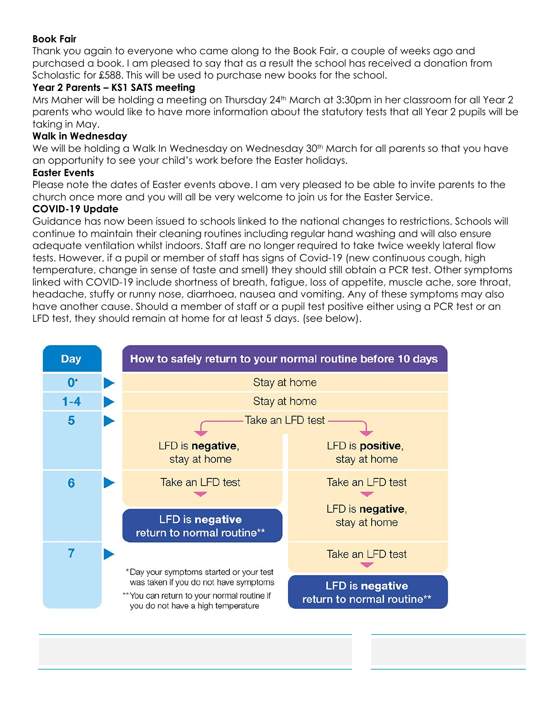#### **Book Fair**

Thank you again to everyone who came along to the Book Fair, a couple of weeks ago and purchased a book. I am pleased to say that as a result the school has received a donation from Scholastic for £588. This will be used to purchase new books for the school.

#### **Year 2 Parents – KS1 SATS meeting**

Mrs Maher will be holding a meeting on Thursday 24<sup>th</sup> March at 3:30pm in her classroom for all Year 2 parents who would like to have more information about the statutory tests that all Year 2 pupils will be taking in May.

#### **Walk in Wednesday**

We will be holding a Walk In Wednesday on Wednesday 30<sup>th</sup> March for all parents so that you have an opportunity to see your child's work before the Easter holidays.

#### **Easter Events**

Please note the dates of Easter events above. I am very pleased to be able to invite parents to the church once more and you will all be very welcome to join us for the Easter Service.

#### **COVID-19 Update**

Guidance has now been issued to schools linked to the national changes to restrictions. Schools will continue to maintain their cleaning routines including regular hand washing and will also ensure adequate ventilation whilst indoors. Staff are no longer required to take twice weekly lateral flow tests. However, if a pupil or member of staff has signs of Covid-19 (new continuous cough, high temperature, change in sense of taste and smell) they should still obtain a PCR test. Other symptoms linked with COVID-19 include shortness of breath, fatigue, loss of appetite, muscle ache, sore throat, headache, stuffy or runny nose, diarrhoea, nausea and vomiting. Any of these symptoms may also have another cause. Should a member of staff or a pupil test positive either using a PCR test or an LFD test, they should remain at home for at least 5 days. (see below).

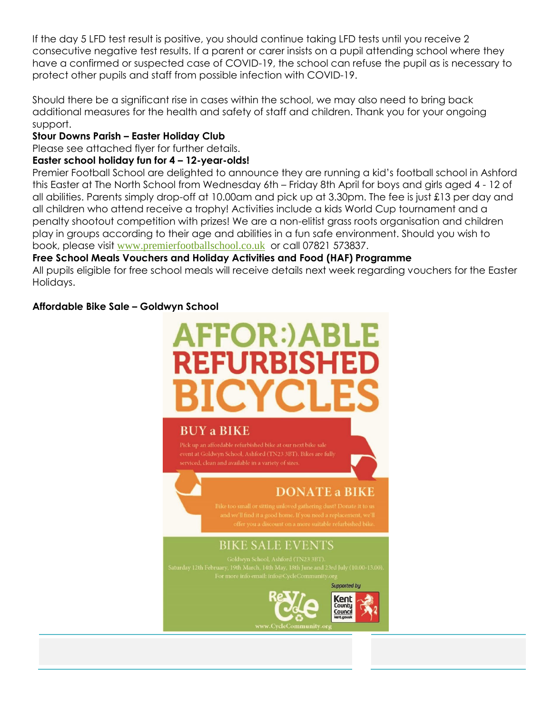If the day 5 LFD test result is positive, you should continue taking LFD tests until you receive 2 consecutive negative test results. If a parent or carer insists on a pupil attending school where they have a confirmed or suspected case of COVID-19, the school can refuse the pupil as is necessary to protect other pupils and staff from possible infection with COVID-19.

Should there be a significant rise in cases within the school, we may also need to bring back additional measures for the health and safety of staff and children. Thank you for your ongoing support.

#### **Stour Downs Parish – Easter Holiday Club**

Please see attached flyer for further details.

#### **Easter school holiday fun for 4 – 12-year-olds!**

Premier Football School are delighted to announce they are running a kid's football school in Ashford this Easter at The North School from Wednesday 6th – Friday 8th April for boys and girls aged 4 - 12 of all abilities. Parents simply drop-off at 10.00am and pick up at 3.30pm. The fee is just £13 per day and all children who attend receive a trophy! Activities include a kids World Cup tournament and a penalty shootout competition with prizes! We are a non-elitist grass roots organisation and children play in groups according to their age and abilities in a fun safe environment. Should you wish to book, please visit [www.premierfootballschool.co.uk](http://www.premierfootballschool.co.uk/) or call 07821 573837.

#### **Free School Meals Vouchers and Holiday Activities and Food (HAF) Programme**

All pupils eligible for free school meals will receive details next week regarding vouchers for the Easter Holidays.

#### **Affordable Bike Sale – Goldwyn School**

# **FOR:)A** REFURBISHE

# **BUY a BIKE**

## **DONATE a BIKE**

## **BIKE SALE EVENTS**

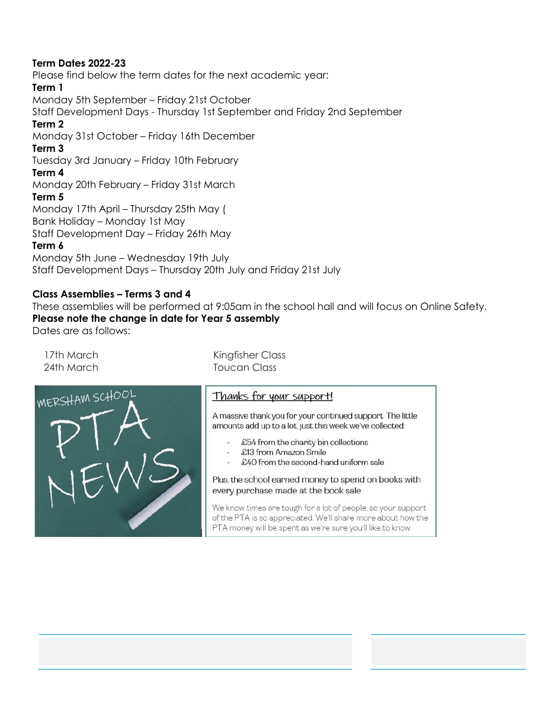#### **Term Dates 2022-23**

Please find below the term dates for the next academic year: **Term 1**  Monday 5th September – Friday 21st October Staff Development Days - Thursday 1st September and Friday 2nd September **Term 2**  Monday 31st October – Friday 16th December **Term 3** Tuesday 3rd January – Friday 10th February **Term 4** Monday 20th February – Friday 31st March **Term 5** Monday 17th April – Thursday 25th May ( Bank Holiday – Monday 1st May Staff Development Day – Friday 26th May **Term 6** Monday 5th June – Wednesday 19th July Staff Development Days – Thursday 20th July and Friday 21st July

#### **Class Assemblies – Terms 3 and 4**

These assemblies will be performed at 9:05am in the school hall and will focus on Online Safety. **Please note the change in date for Year 5 assembly**  Dates are as follows:

17th March 24th March

Kingfisher Class Toucan Class



#### Thanks for your support!

A massive thank you for your continued support. The little amounts add up to a lot, just this week we've collected:

- £54 from the charity bin collections
- £13 from Amazon Smile
- £40 from the second-hand uniform sale

#### Plus, the school earned money to spend on books with every purchase made at the book sale

We know times are tough for a lot of people, so your support of the PTA is so appreciated. We'll share more about how the PTA money will be spent as we're sure you'll like to know.